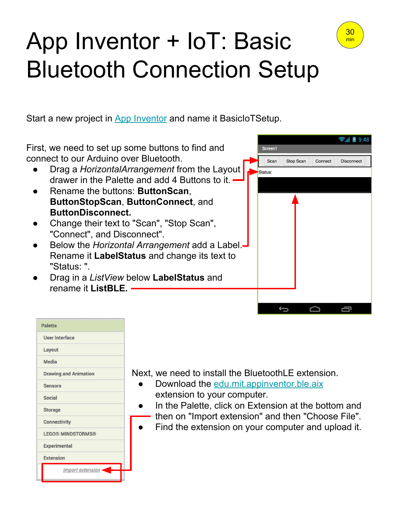## App Inventor + IoT: Basic Bluetooth Connection Setup

30 min

Start a new project in [App Inventor](http://ai2.appinventor.mit.edu/) and name it BasicIoTSetup.



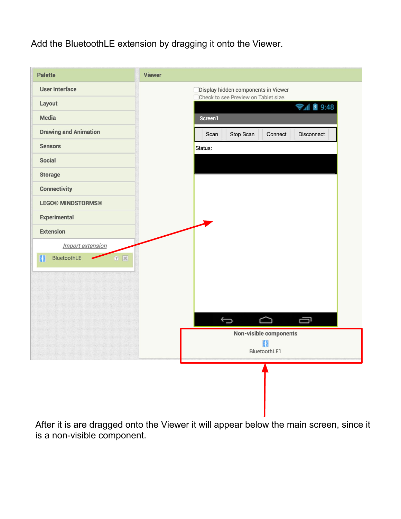## Add the BluetoothLE extension by dragging it onto the Viewer.



After it is are dragged onto the Viewer it will appear below the main screen, since it is a non-visible component.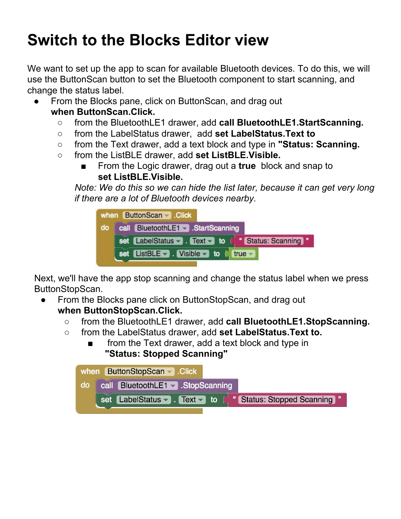## **Switch to the Blocks Editor view**

We want to set up the app to scan for available Bluetooth devices. To do this, we will use the ButtonScan button to set the Bluetooth component to start scanning, and change the status label.

- From the Blocks pane, click on ButtonScan, and drag out **when ButtonScan.Click.**
	- from the BluetoothLE1 drawer, add **call BluetoothLE1.StartScanning.**
	- from the LabelStatus drawer, add **set LabelStatus.Text to**
	- from the Text drawer, add a text block and type in **"Status: Scanning.**
	- from the ListBLE drawer, add **set ListBLE.Visible.**
		- From the Logic drawer, drag out a **true** block and snap to **set ListBLE.Visible.**

*Note: We do this so we can hide the list later, because it can get very long if there are a lot of Bluetooth devices nearby.*



Next, we'll have the app stop scanning and change the status label when we press ButtonStopScan.

- From the Blocks pane click on ButtonStopScan, and drag out **when ButtonStopScan.Click.**
	- from the BluetoothLE1 drawer, add **call BluetoothLE1.StopScanning.**
	- from the LabelStatus drawer, add **set LabelStatus.Text to.**
		- from the Text drawer, add a text block and type in **"Status: Stopped Scanning"**

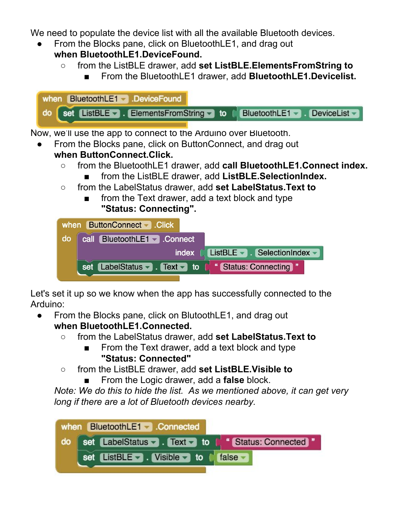We need to populate the device list with all the available Bluetooth devices.

From the Blocks pane, click on BluetoothLE1, and drag out

## **when BluetoothLE1.DeviceFound.**

- from the ListBLE drawer, add **set ListBLE.ElementsFromString to** 
	- From the BluetoothLE1 drawer, add **BluetoothLE1.Devicelist.**



Now, we'll use the app to connect to the Arduino over Bluetooth.

- From the Blocks pane, click on ButtonConnect, and drag out **when ButtonConnect.Click.**
	- from the BluetoothLE1 drawer, add **call BluetoothLE1.Connect index.**
		- from the ListBLE drawer, add **ListBLE.SelectionIndex.**
	- from the LabelStatus drawer, add **set LabelStatus.Text to** 
		- from the Text drawer, add a text block and type **"Status: Connecting".**

|    | when ButtonConnect Click                              |                                                                    |  |
|----|-------------------------------------------------------|--------------------------------------------------------------------|--|
| do | call BluetoothLE1 Connect                             |                                                                    |  |
|    | index <b>N</b>                                        | ListBLE $\blacktriangleright$ SelectionIndex $\blacktriangleright$ |  |
|    | set LabelStatus - . Text - to [ "Status: Connecting " |                                                                    |  |

Let's set it up so we know when the app has successfully connected to the Arduino:

- From the Blocks pane, click on BlutoothLE1, and drag out **when BluetoothLE1.Connected.**
	- from the LabelStatus drawer, add **set LabelStatus.Text to** 
		- From the Text drawer, add a text block and type **"Status: Connected"**
	- from the ListBLE drawer, add **set ListBLE.Visible to** 
		- From the Logic drawer, add a **false** block.

*Note: We do this to hide the list. As we mentioned above, it can get very long if there are a lot of Bluetooth devices nearby.*